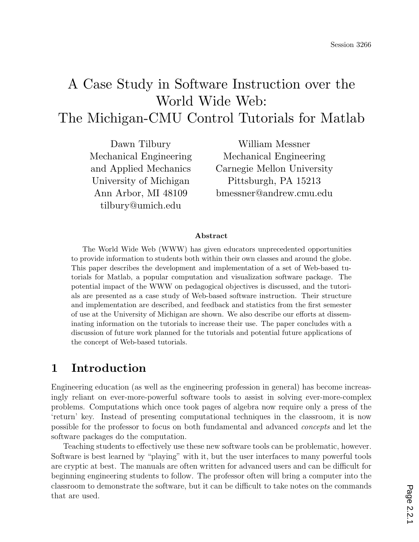# A Case Study in Software Instruction over the World Wide Web: The Michigan-CMU Control Tutorials for Matlab

Dawn Tilbury Mechanical Engineering and Applied Mechanics University of Michigan Ann Arbor, MI 48109 tilbury@umich.edu

William Messner Mechanical Engineering Carnegie Mellon University Pittsburgh, PA 15213 bmessner@andrew.cmu.edu

#### **Abstract**

The World Wide Web (WWW) has given educators unprecedented opportunities to provide information to students both within their own classes and around the globe. This paper describes the development and implementation of a set of Web-based tutorials for Matlab, a popular computation and visualization software package. The potential impact of the WWW on pedagogical objectives is discussed, and the tutorials are presented as a case study of Web-based software instruction. Their structure and implementation are described, and feedback and statistics from the first semester of use at the University of Michigan are shown. We also describe our efforts at disseminating information on the tutorials to increase their use. The paper concludes with a discussion of future work planned for the tutorials and potential future applications of the concept of Web-based tutorials.

### **1 Introduction**

Engineering education (as well as the engineering profession in general) has become increasingly reliant on ever-more-powerful software tools to assist in solving ever-more-complex problems. Computations which once took pages of algebra now require only a press of the 'return' key. Instead of presenting computational techniques in the classroom, it is now possible for the professor to focus on both fundamental and advanced concepts and let the software packages do the computation.

Teaching students to effectively use these new software tools can be problematic, however. Software is best learned by "playing" with it, but the user interfaces to many powerful tools are cryptic at best. The manuals are often written for advanced users and can be difficult for beginning engineering students to follow. The professor often will bring a computer into the classroom to demonstrate the software, but it can be difficult to take notes on the commands that are used.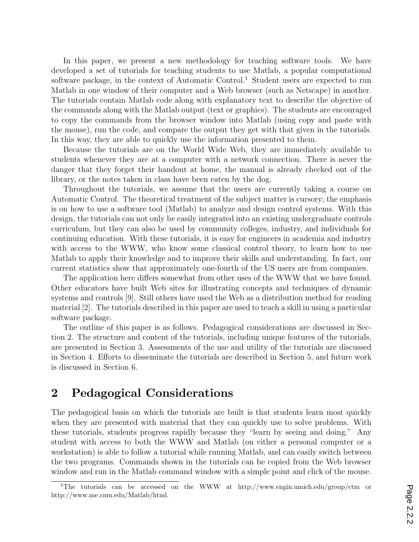In this paper, we present a new methodology for teaching software tools. We have developed a set of tutorials for teaching students to use Matlab, a popular computational software package, in the context of Automatic Control.<sup>1</sup> Student users are expected to run Matlab in one window of their computer and a Web browser (such as Netscape) in another. The tutorials contain Matlab code along with explanatory text to describe the objective of the commands along with the Matlab output (text or graphics). The students are encouraged to copy the commands from the browser window into Matlab (using copy and paste with the mouse), run the code, and compare the output they get with that given in the tutorials. In this way, they are able to quickly use the information presented to them.

Because the tutorials are on the World Wide Web, they are immediately available to students whenever they are at a computer with a network connection. There is never the danger that they forget their handout at home, the manual is already checked out of the library, or the notes taken in class have been eaten by the dog.

Throughout the tutorials, we assume that the users are currently taking a course on Automatic Control. The theoretical treatment of the subject matter is cursory; the emphasis is on how to use a software tool (Matlab) to analyze and design control systems. With this design, the tutorials can not only be easily integrated into an existing undergraduate controls curriculum, but they can also be used by community colleges, industry, and individuals for continuing education. With these tutorials, it is easy for engineers in academia and industry with access to the WWW, who know some classical control theory, to learn how to use Matlab to apply their knowledge and to improve their skills and understanding. In fact, our current statistics show that approximately one-fourth of the US users are from companies.

The application here differs somewhat from other uses of the WWW that we have found. Other educators have built Web sites for illustrating concepts and techniques of dynamic systems and controls [9]. Still others have used the Web as a distribution method for reading material [2]. The tutorials described in this paper are used to teach a skill in using a particular software package.

The outline of this paper is as follows. Pedagogical considerations are discussed in Section 2. The structure and content of the tutorials, including unique features of the tutorials, are presented in Section 3. Assessments of the use and utility of the tutorials are discussed in Section 4. Efforts to disseminate the tutorials are described in Section 5, and future work is discussed in Section 6.

## **2 Pedagogical Considerations**

The pedagogical basis on which the tutorials are built is that students learn most quickly when they are presented with material that they can quickly use to solve problems. With these tutorials, students progress rapidly because they "learn by seeing and doing." Any student with access to both the WWW and Matlab (on either a personal computer or a workstation) is able to follow a tutorial while running Matlab, and can easily switch between the two programs. Commands shown in the tutorials can be copied from the Web browser window and run in the Matlab command window with a simple point and click of the mouse.

<sup>1</sup>The tutorials can be accessed on the WWW at http://www.engin.umich.edu/group/ctm or http://www.me.cmu.edu/Matlab/html.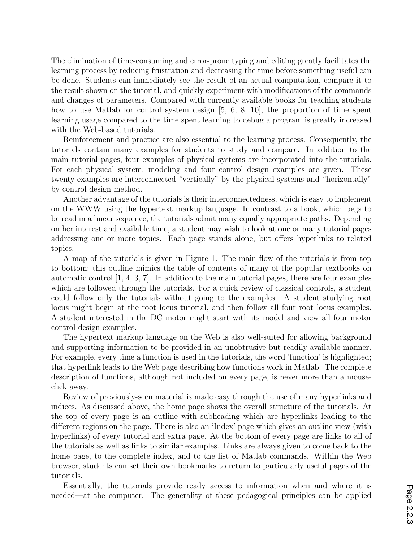The elimination of time-consuming and error-prone typing and editing greatly facilitates the learning process by reducing frustration and decreasing the time before something useful can be done. Students can immediately see the result of an actual computation, compare it to the result shown on the tutorial, and quickly experiment with modifications of the commands and changes of parameters. Compared with currently available books for teaching students how to use Matlab for control system design [5, 6, 8, 10], the proportion of time spent learning usage compared to the time spent learning to debug a program is greatly increased with the Web-based tutorials.

Reinforcement and practice are also essential to the learning process. Consequently, the tutorials contain many examples for students to study and compare. In addition to the main tutorial pages, four examples of physical systems are incorporated into the tutorials. For each physical system, modeling and four control design examples are given. These twenty examples are interconnected "vertically" by the physical systems and "horizontally" by control design method.

Another advantage of the tutorials is their interconnectedness, which is easy to implement on the WWW using the hypertext markup language. In contrast to a book, which begs to be read in a linear sequence, the tutorials admit many equally appropriate paths. Depending on her interest and available time, a student may wish to look at one or many tutorial pages addressing one or more topics. Each page stands alone, but offers hyperlinks to related topics.

A map of the tutorials is given in Figure 1. The main flow of the tutorials is from top to bottom; this outline mimics the table of contents of many of the popular textbooks on automatic control [1, 4, 3, 7]. In addition to the main tutorial pages, there are four examples which are followed through the tutorials. For a quick review of classical controls, a student could follow only the tutorials without going to the examples. A student studying root locus might begin at the root locus tutorial, and then follow all four root locus examples. A student interested in the DC motor might start with its model and view all four motor control design examples.

The hypertext markup language on the Web is also well-suited for allowing background and supporting information to be provided in an unobtrusive but readily-available manner. For example, every time a function is used in the tutorials, the word 'function' is highlighted; that hyperlink leads to the Web page describing how functions work in Matlab. The complete description of functions, although not included on every page, is never more than a mouseclick away.

Review of previously-seen material is made easy through the use of many hyperlinks and indices. As discussed above, the home page shows the overall structure of the tutorials. At the top of every page is an outline with subheading which are hyperlinks leading to the different regions on the page. There is also an 'Index' page which gives an outline view (with hyperlinks) of every tutorial and extra page. At the bottom of every page are links to all of the tutorials as well as links to similar examples. Links are always given to come back to the home page, to the complete index, and to the list of Matlab commands. Within the Web browser, students can set their own bookmarks to return to particularly useful pages of the tutorials.

Essentially, the tutorials provide ready access to information when and where it is needed—at the computer. The generality of these pedagogical principles can be applied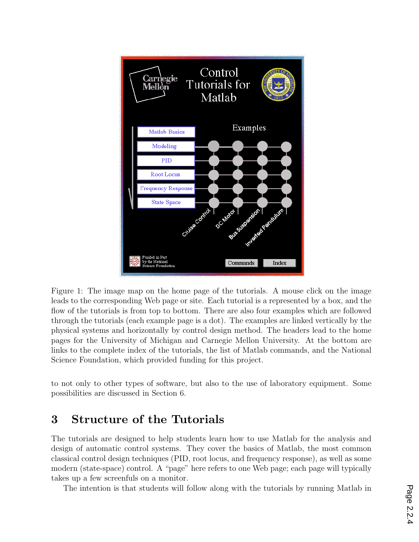

Figure 1: The image map on the home page of the tutorials. A mouse click on the image leads to the corresponding Web page or site. Each tutorial is a represented by a box, and the flow of the tutorials is from top to bottom. There are also four examples which are followed through the tutorials (each example page is a dot). The examples are linked vertically by the physical systems and horizontally by control design method. The headers lead to the home pages for the University of Michigan and Carnegie Mellon University. At the bottom are links to the complete index of the tutorials, the list of Matlab commands, and the National Science Foundation, which provided funding for this project.

to not only to other types of software, but also to the use of laboratory equipment. Some possibilities are discussed in Section 6.

## **3 Structure of the Tutorials**

The tutorials are designed to help students learn how to use Matlab for the analysis and design of automatic control systems. They cover the basics of Matlab, the most common classical control design techniques (PID, root locus, and frequency response), as well as some modern (state-space) control. A "page" here refers to one Web page; each page will typically takes up a few screenfuls on a monitor.

The intention is that students will follow along with the tutorials by running Matlab in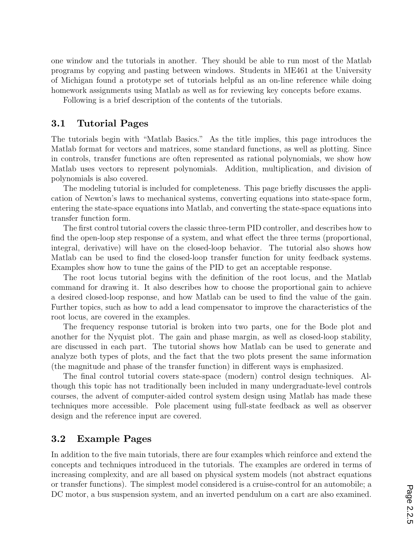one window and the tutorials in another. They should be able to run most of the Matlab programs by copying and pasting between windows. Students in ME461 at the University of Michigan found a prototype set of tutorials helpful as an on-line reference while doing homework assignments using Matlab as well as for reviewing key concepts before exams.

Following is a brief description of the contents of the tutorials.

### **3.1 Tutorial Pages**

The tutorials begin with "Matlab Basics." As the title implies, this page introduces the Matlab format for vectors and matrices, some standard functions, as well as plotting. Since in controls, transfer functions are often represented as rational polynomials, we show how Matlab uses vectors to represent polynomials. Addition, multiplication, and division of polynomials is also covered.

The modeling tutorial is included for completeness. This page briefly discusses the application of Newton's laws to mechanical systems, converting equations into state-space form, entering the state-space equations into Matlab, and converting the state-space equations into transfer function form.

The first control tutorial covers the classic three-term PID controller, and describes how to find the open-loop step response of a system, and what effect the three terms (proportional, integral, derivative) will have on the closed-loop behavior. The tutorial also shows how Matlab can be used to find the closed-loop transfer function for unity feedback systems. Examples show how to tune the gains of the PID to get an acceptable response.

The root locus tutorial begins with the definition of the root locus, and the Matlab command for drawing it. It also describes how to choose the proportional gain to achieve a desired closed-loop response, and how Matlab can be used to find the value of the gain. Further topics, such as how to add a lead compensator to improve the characteristics of the root locus, are covered in the examples.

The frequency response tutorial is broken into two parts, one for the Bode plot and another for the Nyquist plot. The gain and phase margin, as well as closed-loop stability, are discussed in each part. The tutorial shows how Matlab can be used to generate and analyze both types of plots, and the fact that the two plots present the same information (the magnitude and phase of the transfer function) in different ways is emphasized.

The final control tutorial covers state-space (modern) control design techniques. Although this topic has not traditionally been included in many undergraduate-level controls courses, the advent of computer-aided control system design using Matlab has made these techniques more accessible. Pole placement using full-state feedback as well as observer design and the reference input are covered.

### **3.2 Example Pages**

In addition to the five main tutorials, there are four examples which reinforce and extend the concepts and techniques introduced in the tutorials. The examples are ordered in terms of increasing complexity, and are all based on physical system models (not abstract equations or transfer functions). The simplest model considered is a cruise-control for an automobile; a DC motor, a bus suspension system, and an inverted pendulum on a cart are also examined.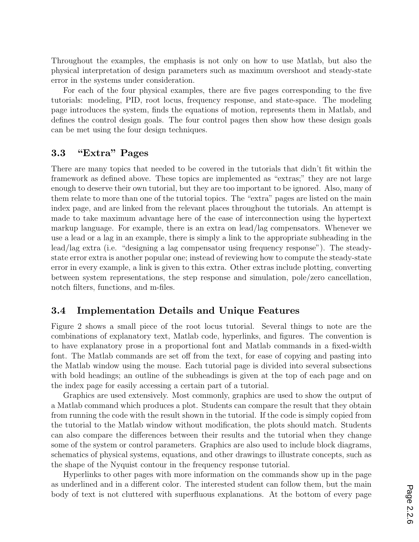Throughout the examples, the emphasis is not only on how to use Matlab, but also the physical interpretation of design parameters such as maximum overshoot and steady-state error in the systems under consideration.

For each of the four physical examples, there are five pages corresponding to the five tutorials: modeling, PID, root locus, frequency response, and state-space. The modeling page introduces the system, finds the equations of motion, represents them in Matlab, and defines the control design goals. The four control pages then show how these design goals can be met using the four design techniques.

### **3.3 "Extra" Pages**

There are many topics that needed to be covered in the tutorials that didn't fit within the framework as defined above. These topics are implemented as "extras;" they are not large enough to deserve their own tutorial, but they are too important to be ignored. Also, many of them relate to more than one of the tutorial topics. The "extra" pages are listed on the main index page, and are linked from the relevant places throughout the tutorials. An attempt is made to take maximum advantage here of the ease of interconnection using the hypertext markup language. For example, there is an extra on lead/lag compensators. Whenever we use a lead or a lag in an example, there is simply a link to the appropriate subheading in the lead/lag extra (i.e. "designing a lag compensator using frequency response"). The steadystate error extra is another popular one; instead of reviewing how to compute the steady-state error in every example, a link is given to this extra. Other extras include plotting, converting between system representations, the step response and simulation, pole/zero cancellation, notch filters, functions, and m-files.

### **3.4 Implementation Details and Unique Features**

Figure 2 shows a small piece of the root locus tutorial. Several things to note are the combinations of explanatory text, Matlab code, hyperlinks, and figures. The convention is to have explanatory prose in a proportional font and Matlab commands in a fixed-width font. The Matlab commands are set off from the text, for ease of copying and pasting into the Matlab window using the mouse. Each tutorial page is divided into several subsections with bold headings; an outline of the subheadings is given at the top of each page and on the index page for easily accessing a certain part of a tutorial.

Graphics are used extensively. Most commonly, graphics are used to show the output of a Matlab command which produces a plot. Students can compare the result that they obtain from running the code with the result shown in the tutorial. If the code is simply copied from the tutorial to the Matlab window without modification, the plots should match. Students can also compare the differences between their results and the tutorial when they change some of the system or control parameters. Graphics are also used to include block diagrams, schematics of physical systems, equations, and other drawings to illustrate concepts, such as the shape of the Nyquist contour in the frequency response tutorial.

Hyperlinks to other pages with more information on the commands show up in the page as underlined and in a different color. The interested student can follow them, but the main body of text is not cluttered with superfluous explanations. At the bottom of every page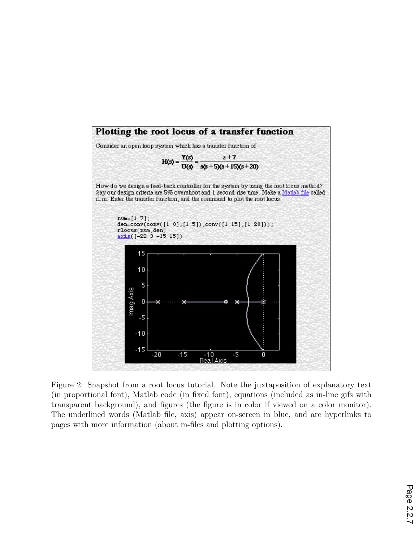

Figure 2: Snapshot from a root locus tutorial. Note the juxtaposition of explanatory text (in proportional font), Matlab code (in fixed font), equations (included as in-line gifs with transparent background), and figures (the figure is in color if viewed on a color monitor). The underlined words (Matlab file, axis) appear on-screen in blue, and are hyperlinks to pages with more information (about m-files and plotting options).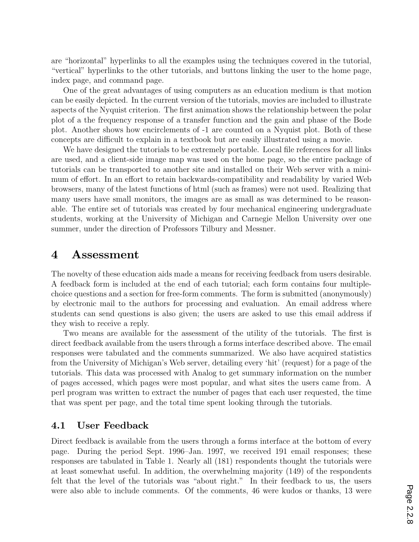are "horizontal" hyperlinks to all the examples using the techniques covered in the tutorial, "vertical" hyperlinks to the other tutorials, and buttons linking the user to the home page, index page, and command page.

One of the great advantages of using computers as an education medium is that motion can be easily depicted. In the current version of the tutorials, movies are included to illustrate aspects of the Nyquist criterion. The first animation shows the relationship between the polar plot of a the frequency response of a transfer function and the gain and phase of the Bode plot. Another shows how encirclements of -1 are counted on a Nyquist plot. Both of these concepts are difficult to explain in a textbook but are easily illustrated using a movie.

We have designed the tutorials to be extremely portable. Local file references for all links are used, and a client-side image map was used on the home page, so the entire package of tutorials can be transported to another site and installed on their Web server with a minimum of effort. In an effort to retain backwards-compatibility and readability by varied Web browsers, many of the latest functions of html (such as frames) were not used. Realizing that many users have small monitors, the images are as small as was determined to be reasonable. The entire set of tutorials was created by four mechanical engineering undergraduate students, working at the University of Michigan and Carnegie Mellon University over one summer, under the direction of Professors Tilbury and Messner.

### **4 Assessment**

The novelty of these education aids made a means for receiving feedback from users desirable. A feedback form is included at the end of each tutorial; each form contains four multiplechoice questions and a section for free-form comments. The form is submitted (anonymously) by electronic mail to the authors for processing and evaluation. An email address where students can send questions is also given; the users are asked to use this email address if they wish to receive a reply.

Two means are available for the assessment of the utility of the tutorials. The first is direct feedback available from the users through a forms interface described above. The email responses were tabulated and the comments summarized. We also have acquired statistics from the University of Michigan's Web server, detailing every 'hit' (request) for a page of the tutorials. This data was processed with Analog to get summary information on the number of pages accessed, which pages were most popular, and what sites the users came from. A perl program was written to extract the number of pages that each user requested, the time that was spent per page, and the total time spent looking through the tutorials.

#### **4.1 User Feedback**

Direct feedback is available from the users through a forms interface at the bottom of every page. During the period Sept. 1996–Jan. 1997, we received 191 email responses; these responses are tabulated in Table 1. Nearly all (181) respondents thought the tutorials were at least somewhat useful. In addition, the overwhelming majority (149) of the respondents felt that the level of the tutorials was "about right." In their feedback to us, the users were also able to include comments. Of the comments, 46 were kudos or thanks, 13 were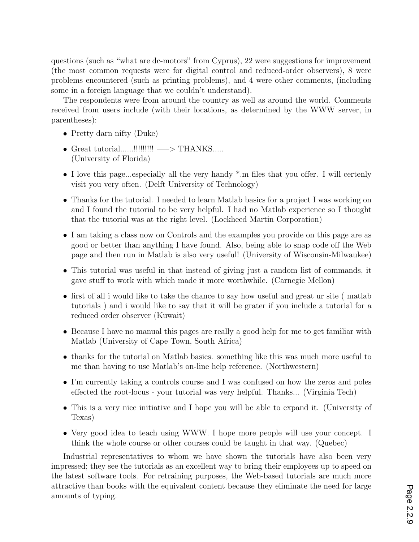questions (such as "what are dc-motors" from Cyprus), 22 were suggestions for improvement (the most common requests were for digital control and reduced-order observers), 8 were problems encountered (such as printing problems), and 4 were other comments, (including some in a foreign language that we couldn't understand).

The respondents were from around the country as well as around the world. Comments received from users include (with their locations, as determined by the WWW server, in parentheses):

- Pretty darn nifty (Duke)
- *•* Great tutorial......!!!!!!!!! —–> THANKS..... (University of Florida)
- I love this page...especially all the very handy  $*$ .m files that you offer. I will certenly visit you very often. (Delft University of Technology)
- Thanks for the tutorial. I needed to learn Matlab basics for a project I was working on and I found the tutorial to be very helpful. I had no Matlab experience so I thought that the tutorial was at the right level. (Lockheed Martin Corporation)
- *•* I am taking a class now on Controls and the examples you provide on this page are as good or better than anything I have found. Also, being able to snap code off the Web page and then run in Matlab is also very useful! (University of Wisconsin-Milwaukee)
- This tutorial was useful in that instead of giving just a random list of commands, it gave stuff to work with which made it more worthwhile. (Carnegie Mellon)
- first of all i would like to take the chance to say how useful and great ur site (matlab tutorials ) and i would like to say that it will be grater if you include a tutorial for a reduced order observer (Kuwait)
- Because I have no manual this pages are really a good help for me to get familiar with Matlab (University of Cape Town, South Africa)
- thanks for the tutorial on Matlab basics. something like this was much more useful to me than having to use Matlab's on-line help reference. (Northwestern)
- I'm currently taking a controls course and I was confused on how the zeros and poles effected the root-locus - your tutorial was very helpful. Thanks... (Virginia Tech)
- This is a very nice initiative and I hope you will be able to expand it. (University of Texas)
- Very good idea to teach using WWW. I hope more people will use your concept. I think the whole course or other courses could be taught in that way. (Quebec)

Industrial representatives to whom we have shown the tutorials have also been very impressed; they see the tutorials as an excellent way to bring their employees up to speed on the latest software tools. For retraining purposes, the Web-based tutorials are much more attractive than books with the equivalent content because they eliminate the need for large amounts of typing.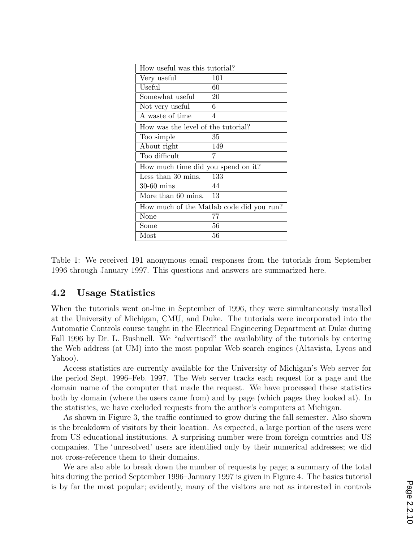| How useful was this tutorial?            |     |
|------------------------------------------|-----|
| Very useful                              | 101 |
| Useful                                   | 60  |
| Somewhat useful                          | 20  |
| Not very useful                          | 6   |
| A waste of time                          | 4   |
| How was the level of the tutorial?       |     |
| Too simple                               | 35  |
| About right                              | 149 |
| Too difficult                            | 7   |
| How much time did you spend on it?       |     |
| Less than 30 mins.                       | 133 |
| $30-60$ mins                             | 44  |
| More than 60 mins.                       | 13  |
| How much of the Matlab code did you run? |     |
| None                                     | 77  |
| Some                                     | 56  |
| Most                                     | 56  |

Table 1: We received 191 anonymous email responses from the tutorials from September 1996 through January 1997. This questions and answers are summarized here.

### **4.2 Usage Statistics**

When the tutorials went on-line in September of 1996, they were simultaneously installed at the University of Michigan, CMU, and Duke. The tutorials were incorporated into the Automatic Controls course taught in the Electrical Engineering Department at Duke during Fall 1996 by Dr. L. Bushnell. We "advertised" the availability of the tutorials by entering the Web address (at UM) into the most popular Web search engines (Altavista, Lycos and Yahoo).

Access statistics are currently available for the University of Michigan's Web server for the period Sept. 1996–Feb. 1997. The Web server tracks each request for a page and the domain name of the computer that made the request. We have processed these statistics both by domain (where the users came from) and by page (which pages they looked at). In the statistics, we have excluded requests from the author's computers at Michigan.

As shown in Figure 3, the traffic continued to grow during the fall semester. Also shown is the breakdown of visitors by their location. As expected, a large portion of the users were from US educational institutions. A surprising number were from foreign countries and US companies. The 'unresolved' users are identified only by their numerical addresses; we did not cross-reference them to their domains.

We are also able to break down the number of requests by page; a summary of the total hits during the period September 1996–January 1997 is given in Figure 4. The basics tutorial is by far the most popular; evidently, many of the visitors are not as interested in controls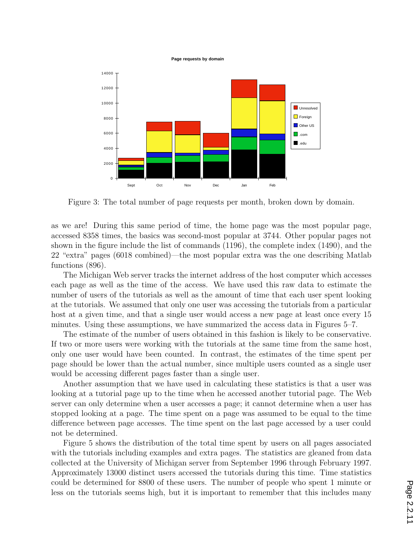

Figure 3: The total number of page requests per month, broken down by domain.

as we are! During this same period of time, the home page was the most popular page, accessed 8358 times, the basics was second-most popular at 3744. Other popular pages not shown in the figure include the list of commands (1196), the complete index (1490), and the 22 "extra" pages (6018 combined)—the most popular extra was the one describing Matlab functions (896).

The Michigan Web server tracks the internet address of the host computer which accesses each page as well as the time of the access. We have used this raw data to estimate the number of users of the tutorials as well as the amount of time that each user spent looking at the tutorials. We assumed that only one user was accessing the tutorials from a particular host at a given time, and that a single user would access a new page at least once every 15 minutes. Using these assumptions, we have summarized the access data in Figures 5–7.

The estimate of the number of users obtained in this fashion is likely to be conservative. If two or more users were working with the tutorials at the same time from the same host, only one user would have been counted. In contrast, the estimates of the time spent per page should be lower than the actual number, since multiple users counted as a single user would be accessing different pages faster than a single user.

Another assumption that we have used in calculating these statistics is that a user was looking at a tutorial page up to the time when he accessed another tutorial page. The Web server can only determine when a user accesses a page; it cannot determine when a user has stopped looking at a page. The time spent on a page was assumed to be equal to the time difference between page accesses. The time spent on the last page accessed by a user could not be determined.

Figure 5 shows the distribution of the total time spent by users on all pages associated with the tutorials including examples and extra pages. The statistics are gleaned from data collected at the University of Michigan server from September 1996 through February 1997. Approximately 13000 distinct users accessed the tutorials during this time. Time statistics could be determined for 8800 of these users. The number of people who spent 1 minute or less on the tutorials seems high, but it is important to remember that this includes many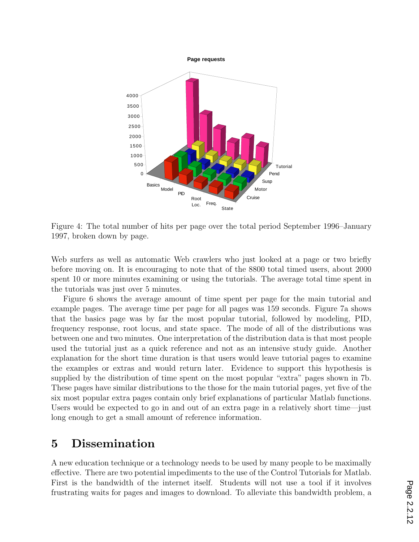

Figure 4: The total number of hits per page over the total period September 1996–January 1997, broken down by page.

Web surfers as well as automatic Web crawlers who just looked at a page or two briefly before moving on. It is encouraging to note that of the 8800 total timed users, about 2000 spent 10 or more minutes examining or using the tutorials. The average total time spent in the tutorials was just over 5 minutes.

Figure 6 shows the average amount of time spent per page for the main tutorial and example pages. The average time per page for all pages was 159 seconds. Figure 7a shows that the basics page was by far the most popular tutorial, followed by modeling, PID, frequency response, root locus, and state space. The mode of all of the distributions was between one and two minutes. One interpretation of the distribution data is that most people used the tutorial just as a quick reference and not as an intensive study guide. Another explanation for the short time duration is that users would leave tutorial pages to examine the examples or extras and would return later. Evidence to support this hypothesis is supplied by the distribution of time spent on the most popular "extra" pages shown in 7b. These pages have similar distributions to the those for the main tutorial pages, yet five of the six most popular extra pages contain only brief explanations of particular Matlab functions. Users would be expected to go in and out of an extra page in a relatively short time—just long enough to get a small amount of reference information.

## **5 Dissemination**

A new education technique or a technology needs to be used by many people to be maximally effective. There are two potential impediments to the use of the Control Tutorials for Matlab. First is the bandwidth of the internet itself. Students will not use a tool if it involves frustrating waits for pages and images to download. To alleviate this bandwidth problem, a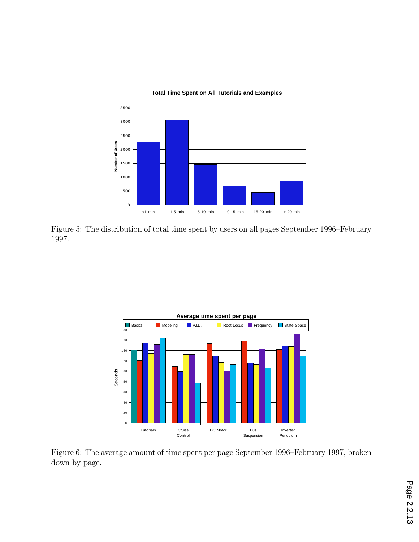

**Total Time Spent on All Tutorials and Examples** 

Figure 5: The distribution of total time spent by users on all pages September 1996–February 1997.



Figure 6: The average amount of time spent per page September 1996–February 1997, broken down by page.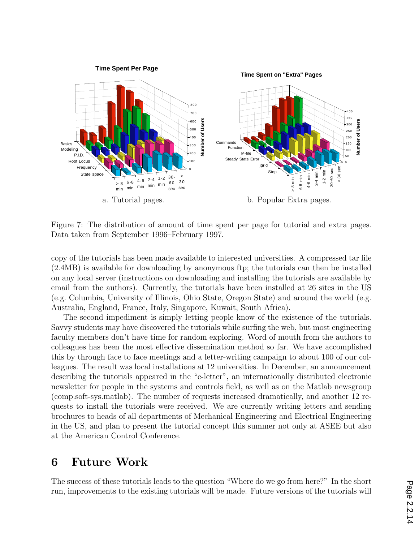

Figure 7: The distribution of amount of time spent per page for tutorial and extra pages. Data taken from September 1996–February 1997.

copy of the tutorials has been made available to interested universities. A compressed tar file (2.4MB) is available for downloading by anonymous ftp; the tutorials can then be installed on any local server (instructions on downloading and installing the tutorials are available by email from the authors). Currently, the tutorials have been installed at 26 sites in the US (e.g. Columbia, University of Illinois, Ohio State, Oregon State) and around the world (e.g. Australia, England, France, Italy, Singapore, Kuwait, South Africa).

The second impediment is simply letting people know of the existence of the tutorials. Savvy students may have discovered the tutorials while surfing the web, but most engineering faculty members don't have time for random exploring. Word of mouth from the authors to colleagues has been the most effective dissemination method so far. We have accomplished this by through face to face meetings and a letter-writing campaign to about 100 of our colleagues. The result was local installations at 12 universities. In December, an announcement describing the tutorials appeared in the "e-letter", an internationally distributed electronic newsletter for people in the systems and controls field, as well as on the Matlab newsgroup (comp.soft-sys.matlab). The number of requests increased dramatically, and another 12 requests to install the tutorials were received. We are currently writing letters and sending brochures to heads of all departments of Mechanical Engineering and Electrical Engineering in the US, and plan to present the tutorial concept this summer not only at ASEE but also at the American Control Conference.

## **6 Future Work**

The success of these tutorials leads to the question "Where do we go from here?" In the short run, improvements to the existing tutorials will be made. Future versions of the tutorials will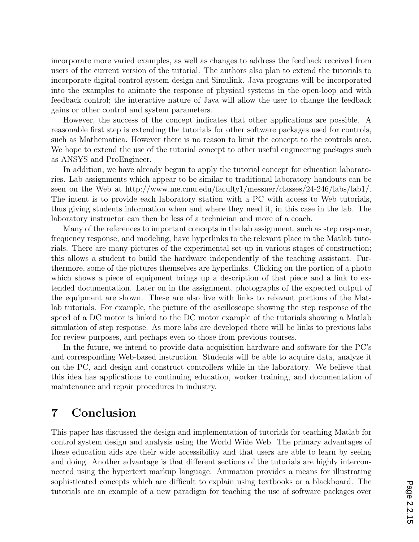incorporate more varied examples, as well as changes to address the feedback received from users of the current version of the tutorial. The authors also plan to extend the tutorials to incorporate digital control system design and Simulink. Java programs will be incorporated into the examples to animate the response of physical systems in the open-loop and with feedback control; the interactive nature of Java will allow the user to change the feedback gains or other control and system parameters.

However, the success of the concept indicates that other applications are possible. A reasonable first step is extending the tutorials for other software packages used for controls, such as Mathematica. However there is no reason to limit the concept to the controls area. We hope to extend the use of the tutorial concept to other useful engineering packages such as ANSYS and ProEngineer.

In addition, we have already begun to apply the tutorial concept for education laboratories. Lab assignments which appear to be similar to traditional laboratory handouts can be seen on the Web at http://www.me.cmu.edu/faculty1/messner/classes/24-246/labs/lab1/. The intent is to provide each laboratory station with a PC with access to Web tutorials, thus giving students information when and where they need it, in this case in the lab. The laboratory instructor can then be less of a technician and more of a coach.

Many of the references to important concepts in the lab assignment, such as step response, frequency response, and modeling, have hyperlinks to the relevant place in the Matlab tutorials. There are many pictures of the experimental set-up in various stages of construction; this allows a student to build the hardware independently of the teaching assistant. Furthermore, some of the pictures themselves are hyperlinks. Clicking on the portion of a photo which shows a piece of equipment brings up a description of that piece and a link to extended documentation. Later on in the assignment, photographs of the expected output of the equipment are shown. These are also live with links to relevant portions of the Matlab tutorials. For example, the picture of the oscilloscope showing the step response of the speed of a DC motor is linked to the DC motor example of the tutorials showing a Matlab simulation of step response. As more labs are developed there will be links to previous labs for review purposes, and perhaps even to those from previous courses.

In the future, we intend to provide data acquisition hardware and software for the PC's and corresponding Web-based instruction. Students will be able to acquire data, analyze it on the PC, and design and construct controllers while in the laboratory. We believe that this idea has applications to continuing education, worker training, and documentation of maintenance and repair procedures in industry.

## **7 Conclusion**

This paper has discussed the design and implementation of tutorials for teaching Matlab for control system design and analysis using the World Wide Web. The primary advantages of these education aids are their wide accessibility and that users are able to learn by seeing and doing. Another advantage is that different sections of the tutorials are highly interconnected using the hypertext markup language. Animation provides a means for illustrating sophisticated concepts which are difficult to explain using textbooks or a blackboard. The tutorials are an example of a new paradigm for teaching the use of software packages over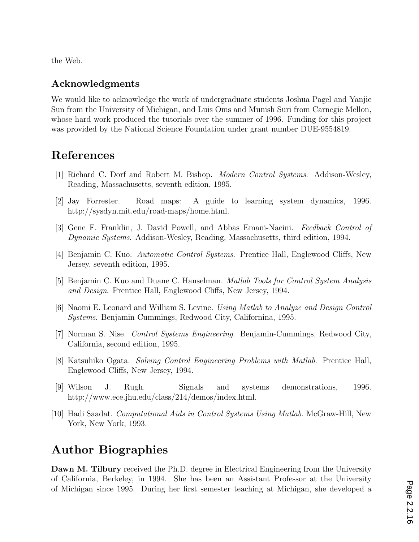the Web.

### **Acknowledgments**

We would like to acknowledge the work of undergraduate students Joshua Pagel and Yanjie Sun from the University of Michigan, and Luis Oms and Munish Suri from Carnegie Mellon, whose hard work produced the tutorials over the summer of 1996. Funding for this project was provided by the National Science Foundation under grant number DUE-9554819.

## **References**

- [1] Richard C. Dorf and Robert M. Bishop. Modern Control Systems. Addison-Wesley, Reading, Massachusetts, seventh edition, 1995.
- [2] Jay Forrester. Road maps: A guide to learning system dynamics, 1996. http://sysdyn.mit.edu/road-maps/home.html.
- [3] Gene F. Franklin, J. David Powell, and Abbas Emani-Naeini. Feedback Control of Dynamic Systems. Addison-Wesley, Reading, Massachusetts, third edition, 1994.
- [4] Benjamin C. Kuo. Automatic Control Systems. Prentice Hall, Englewood Cliffs, New Jersey, seventh edition, 1995.
- [5] Benjamin C. Kuo and Duane C. Hanselman. Matlab Tools for Control System Analysis and Design. Prentice Hall, Englewood Cliffs, New Jersey, 1994.
- [6] Naomi E. Leonard and William S. Levine. Using Matlab to Analyze and Design Control Systems. Benjamin Cummings, Redwood City, Californina, 1995.
- [7] Norman S. Nise. Control Systems Engineering. Benjamin-Cummings, Redwood City, California, second edition, 1995.
- [8] Katsuhiko Ogata. Solving Control Engineering Problems with Matlab. Prentice Hall, Englewood Cliffs, New Jersey, 1994.
- [9] Wilson J. Rugh. Signals and systems demonstrations, 1996. http://www.ece.jhu.edu/class/214/demos/index.html.
- [10] Hadi Saadat. Computational Aids in Control Systems Using Matlab. McGraw-Hill, New York, New York, 1993.

## **Author Biographies**

**Dawn M. Tilbury** received the Ph.D. degree in Electrical Engineering from the University of California, Berkeley, in 1994. She has been an Assistant Professor at the University of Michigan since 1995. During her first semester teaching at Michigan, she developed a